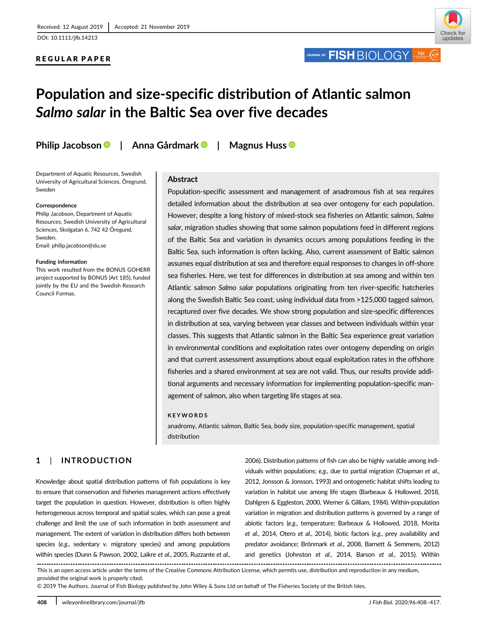#### REGULAR PAPER

JOURNAL OF **FISH** BIOLOGY

# Population and size-specific distribution of Atlantic salmon Salmo salar in the Baltic Sea over five decades

Philip Jacobson | Anna Gårdmark | Magnus Huss ®

Department of Aquatic Resources, Swedish University of Agricultural Sciences, Öregrund, Sweden

#### Correspondence

Philip Jacobson, Department of Aquatic Resources, Swedish University of Agricultural Sciences, Skolgatan 6, 742 42 Öregund, Sweden. Email: [philip.jacobson@slu.se](mailto:philip.jacobson@slu.se)

#### Funding information

This work resulted from the BONUS GOHERR project supported by BONUS (Art 185), funded jointly by the EU and the Swedish Research Council Formas.

## Abstract

Population-specific assessment and management of anadromous fish at sea requires detailed information about the distribution at sea over ontogeny for each population. However, despite a long history of mixed-stock sea fisheries on Atlantic salmon, Salmo salar, migration studies showing that some salmon populations feed in different regions of the Baltic Sea and variation in dynamics occurs among populations feeding in the Baltic Sea, such information is often lacking. Also, current assessment of Baltic salmon assumes equal distribution at sea and therefore equal responses to changes in off-shore sea fisheries. Here, we test for differences in distribution at sea among and within ten Atlantic salmon Salmo salar populations originating from ten river-specific hatcheries along the Swedish Baltic Sea coast, using individual data from >125,000 tagged salmon, recaptured over five decades. We show strong population and size-specific differences in distribution at sea, varying between year classes and between individuals within year classes. This suggests that Atlantic salmon in the Baltic Sea experience great variation in environmental conditions and exploitation rates over ontogeny depending on origin and that current assessment assumptions about equal exploitation rates in the offshore fisheries and a shared environment at sea are not valid. Thus, our results provide additional arguments and necessary information for implementing population-specific management of salmon, also when targeting life stages at sea.

#### KEYWORDS

anadromy, Atlantic salmon, Baltic Sea, body size, population-specific management, spatial distribution

# 1 | INTRODUCTION

Knowledge about spatial distribution patterns of fish populations is key to ensure that conservation and fisheries management actions effectively target the population in question. However, distribution is often highly heterogeneous across temporal and spatial scales, which can pose a great challenge and limit the use of such information in both assessment and management. The extent of variation in distribution differs both between species (e.g., sedentary v. migratory species) and among populations within species (Dunn & Pawson, 2002, Laikre et al., 2005, Ruzzante et al.,

2006). Distribution patterns of fish can also be highly variable among individuals within populations; e.g., due to partial migration (Chapman et al., 2012, Jonsson & Jonsson, 1993) and ontogenetic habitat shifts leading to variation in habitat use among life stages (Barbeaux & Hollowed, 2018, Dahlgren & Eggleston, 2000, Werner & Gilliam, 1984). Within-population variation in migration and distribution patterns is governed by a range of abiotic factors (e.g., temperature; Barbeaux & Hollowed, 2018, Morita et al., 2014, Otero et al., 2014), biotic factors (e.g., prey availability and predator avoidance; Brönmark et al., 2008, Barnett & Semmens, 2012) and genetics (Johnston et al., 2014, Barson et al., 2015). Within

This is an open access article under the terms of the [Creative Commons Attribution](http://creativecommons.org/licenses/by/4.0/) License, which permits use, distribution and reproduction in any medium, provided the original work is properly cited.

© 2019 The Authors. Journal of Fish Biology published by John Wiley & Sons Ltd on behalf of The Fisheries Society of the British Isles.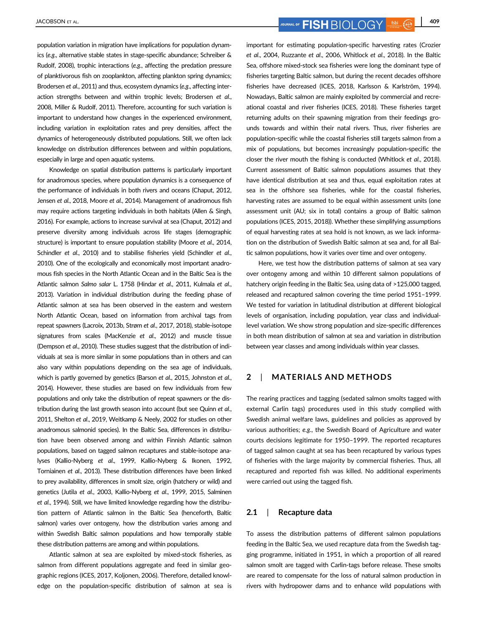JACOBSON ET AL. **409 FISH**  $\overline{B}$  OUFINAL OF **FISH**  $\overline{B}$   $\overline{C}$   $\overline{C}$   $\overline{C}$   $\overline{C}$   $\overline{C}$   $\overline{A}$   $\overline{C}$   $\overline{C}$   $\overline{C}$   $\overline{A}$   $\overline{C}$   $\overline{C}$   $\overline{C}$   $\overline{C}$   $\overline{C}$   $\overline{C}$   $\overline{C}$   $\overline$ 

population variation in migration have implications for population dynamics (e.g., alternative stable states in stage-specific abundance; Schreiber & Rudolf, 2008), trophic interactions (e.g., affecting the predation pressure of planktivorous fish on zooplankton, affecting plankton spring dynamics; Brodersen et al., 2011) and thus, ecosystem dynamics (e.g., affecting interaction strengths between and within trophic levels; Brodersen et al., 2008, Miller & Rudolf, 2011). Therefore, accounting for such variation is important to understand how changes in the experienced environment, including variation in exploitation rates and prey densities, affect the dynamics of heterogeneously distributed populations. Still, we often lack knowledge on distribution differences between and within populations, especially in large and open aquatic systems.

Knowledge on spatial distribution patterns is particularly important for anadromous species, where population dynamics is a consequence of the performance of individuals in both rivers and oceans (Chaput, 2012, Jensen et al., 2018, Moore et al., 2014). Management of anadromous fish may require actions targeting individuals in both habitats (Allen & Singh, 2016). For example, actions to increase survival at sea (Chaput, 2012) and preserve diversity among individuals across life stages (demographic structure) is important to ensure population stability (Moore et al., 2014, Schindler et al., 2010) and to stabilise fisheries yield (Schindler et al., 2010). One of the ecologically and economically most important anadromous fish species in the North Atlantic Ocean and in the Baltic Sea is the Atlantic salmon Salmo salar L. 1758 (Hindar et al., 2011, Kulmala et al., 2013). Variation in individual distribution during the feeding phase of Atlantic salmon at sea has been observed in the eastern and western North Atlantic Ocean, based on information from archival tags from repeat spawners (Lacroix, 2013b, Strøm et al., 2017, 2018), stable-isotope signatures from scales (MacKenzie et al., 2012) and muscle tissue (Dempson et al., 2010). These studies suggest that the distribution of individuals at sea is more similar in some populations than in others and can also vary within populations depending on the sea age of individuals, which is partly governed by genetics (Barson et al., 2015, Johnston et al., 2014). However, these studies are based on few individuals from few populations and only take the distribution of repeat spawners or the distribution during the last growth season into account (but see Quinn et al., 2011, Shelton et al., 2019, Weitkamp & Neely, 2002 for studies on other anadromous salmonid species). In the Baltic Sea, differences in distribution have been observed among and within Finnish Atlantic salmon populations, based on tagged salmon recaptures and stable-isotope analyses (Kallio-Nyberg et al., 1999, Kallio-Nyberg & Ikonen, 1992, Torniainen et al., 2013). These distribution differences have been linked to prey availability, differences in smolt size, origin (hatchery or wild) and genetics (Jutila et al., 2003, Kallio-Nyberg et al., 1999, 2015, Salminen et al., 1994). Still, we have limited knowledge regarding how the distribution pattern of Atlantic salmon in the Baltic Sea (henceforth, Baltic salmon) varies over ontogeny, how the distribution varies among and within Swedish Baltic salmon populations and how temporally stable these distribution patterns are among and within populations.

Atlantic salmon at sea are exploited by mixed-stock fisheries, as salmon from different populations aggregate and feed in similar geographic regions (ICES, 2017, Koljonen, 2006). Therefore, detailed knowledge on the population-specific distribution of salmon at sea is important for estimating population-specific harvesting rates (Crozier et al., 2004, Ruzzante et al., 2006, Whitlock et al., 2018). In the Baltic Sea, offshore mixed-stock sea fisheries were long the dominant type of fisheries targeting Baltic salmon, but during the recent decades offshore fisheries have decreased (ICES, 2018, Karlsson & Karlström, 1994). Nowadays, Baltic salmon are mainly exploited by commercial and recreational coastal and river fisheries (ICES, 2018). These fisheries target returning adults on their spawning migration from their feedings grounds towards and within their natal rivers. Thus, river fisheries are population-specific while the coastal fisheries still targets salmon from a mix of populations, but becomes increasingly population-specific the closer the river mouth the fishing is conducted (Whitlock et al., 2018). Current assessment of Baltic salmon populations assumes that they have identical distribution at sea and thus, equal exploitation rates at sea in the offshore sea fisheries, while for the coastal fisheries, harvesting rates are assumed to be equal within assessment units (one assessment unit (AU; six in total) contains a group of Baltic salmon populations (ICES, 2015, 2018)). Whether these simplifying assumptions of equal harvesting rates at sea hold is not known, as we lack information on the distribution of Swedish Baltic salmon at sea and, for all Baltic salmon populations, how it varies over time and over ontogeny.

Here, we test how the distribution patterns of salmon at sea vary over ontogeny among and within 10 different salmon populations of hatchery origin feeding in the Baltic Sea, using data of >125,000 tagged, released and recaptured salmon covering the time period 1951–1999. We tested for variation in latitudinal distribution at different biological levels of organisation, including population, year class and individuallevel variation. We show strong population and size-specific differences in both mean distribution of salmon at sea and variation in distribution between year classes and among individuals within year classes.

# 2 | MATERIALS AND METHODS

The rearing practices and tagging (sedated salmon smolts tagged with external Carlin tags) procedures used in this study complied with Swedish animal welfare laws, guidelines and policies as approved by various authorities; e.g., the Swedish Board of Agriculture and water courts decisions legitimate for 1950–1999. The reported recaptures of tagged salmon caught at sea has been recaptured by various types of fisheries with the large majority by commercial fisheries. Thus, all recaptured and reported fish was killed. No additional experiments were carried out using the tagged fish.

## 2.1 | Recapture data

To assess the distribution patterns of different salmon populations feeding in the Baltic Sea, we used recapture data from the Swedish tagging programme, initiated in 1951, in which a proportion of all reared salmon smolt are tagged with Carlin-tags before release. These smolts are reared to compensate for the loss of natural salmon production in rivers with hydropower dams and to enhance wild populations with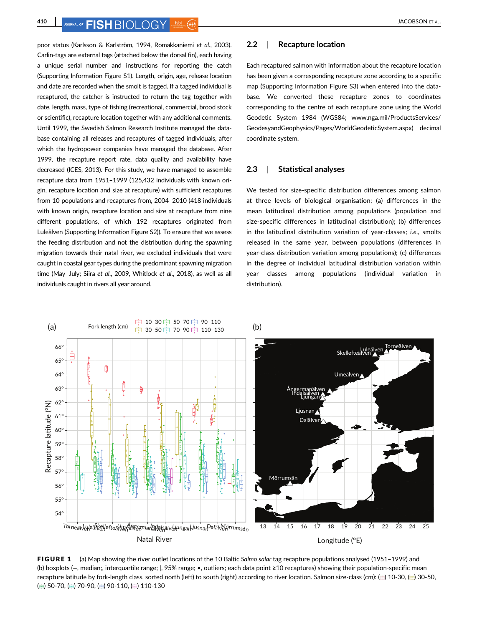poor status (Karlsson & Karlström, 1994, Romakkaniemi et al., 2003). Carlin-tags are external tags (attached below the dorsal fin), each having a unique serial number and instructions for reporting the catch (Supporting Information Figure S1). Length, origin, age, release location and date are recorded when the smolt is tagged. If a tagged individual is recaptured, the catcher is instructed to return the tag together with date, length, mass, type of fishing (recreational, commercial, brood stock or scientific), recapture location together with any additional comments. Until 1999, the Swedish Salmon Research Institute managed the database containing all releases and recaptures of tagged individuals, after which the hydropower companies have managed the database. After 1999, the recapture report rate, data quality and availability have decreased (ICES, 2013). For this study, we have managed to assemble recapture data from 1951–1999 (125,432 individuals with known origin, recapture location and size at recapture) with sufficient recaptures from 10 populations and recaptures from, 2004–2010 (418 individuals with known origin, recapture location and size at recapture from nine different populations, of which 192 recaptures originated from Luleälven (Supporting Information Figure S2)). To ensure that we assess the feeding distribution and not the distribution during the spawning migration towards their natal river, we excluded individuals that were caught in coastal gear types during the predominant spawning migration time (May–July; Siira et al., 2009, Whitlock et al., 2018), as well as all

individuals caught in rivers all year around.

## 2.2 | Recapture location

Each recaptured salmon with information about the recapture location has been given a corresponding recapture zone according to a specific map (Supporting Information Figure S3) when entered into the database. We converted these recapture zones to coordinates corresponding to the centre of each recapture zone using the World Geodetic System 1984 (WGS84; [www.nga.mil/ProductsServices/](http://www.nga.mil/ProductsServices/GeodesyandGeophysics/Pages/WorldGeodeticSystem.aspx) [GeodesyandGeophysics/Pages/WorldGeodeticSystem.aspx](http://www.nga.mil/ProductsServices/GeodesyandGeophysics/Pages/WorldGeodeticSystem.aspx)) decimal coordinate system.

#### 2.3 | Statistical analyses

We tested for size-specific distribution differences among salmon at three levels of biological organisation; (a) differences in the mean latitudinal distribution among populations (population and size-specific differences in latitudinal distribution); (b) differences in the latitudinal distribution variation of year-classes; i.e., smolts released in the same year, between populations (differences in year-class distribution variation among populations); (c) differences in the degree of individual latitudinal distribution variation within year classes among populations (individual variation in distribution).



FIGURE 1 (a) Map showing the river outlet locations of the 10 Baltic Salmo salar tag recapture populations analysed (1951–1999) and (b) boxplots (−, median;, interquartile range; |, 95% range; •, outliers; each data point ≥10 recaptures) showing their population-specific mean recapture latitude by fork-length class, sorted north (left) to south (right) according to river location. Salmon size-class (cm): (=) 10-30, (=) 30-50, ( $\equiv$ ) 50-70, ( $\equiv$ ) 70-90, ( $\equiv$ ) 90-110, ( $\equiv$ ) 110-130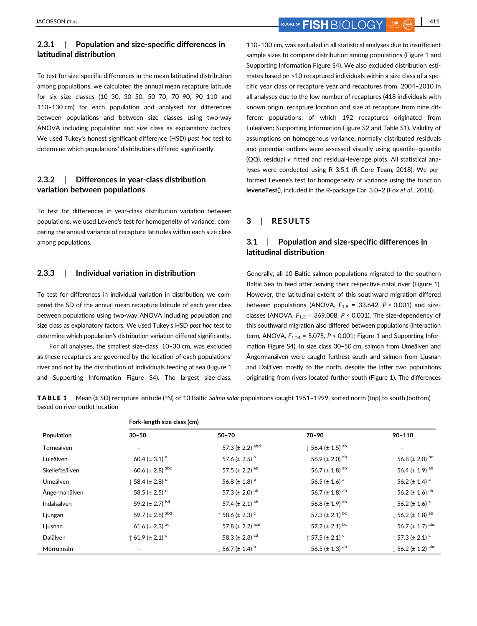# 2.3.1 | Population and size-specific differences in latitudinal distribution

To test for size-specific differences in the mean latitudinal distribution among populations, we calculated the annual mean recapture latitude for six size classes (10–30, 30–50, 50–70, 70–90, 90–110 and 110–130 cm) for each population and analysed for differences between populations and between size classes using two-way ANOVA including population and size class as explanatory factors. We used Tukey's honest significant difference (HSD) post hoc test to determine which populations' distributions differed significantly.

# 2.3.2 | Differences in year-class distribution variation between populations

To test for differences in year-class distribution variation between populations, we used Levene's test for homogeneity of variance, comparing the annual variance of recapture latitudes within each size class among populations.

## 2.3.3 | Individual variation in distribution

To test for differences in individual variation in distribution, we compared the SD of the annual mean recapture latitude of each year class between populations using two-way ANOVA including population and size class as explanatory factors. We used Tukey's HSD post hoc test to determine which population's distribution variation differed significantly.

For all analyses, the smallest size-class, 10–30 cm, was excluded as these recaptures are governed by the location of each populations' river and not by the distribution of individuals feeding at sea (Figure 1 and Supporting Information Figure S4). The largest size-class, 110–130 cm, was excluded in all statistical analyses due to insufficient sample sizes to compare distribution among populations (Figure 1 and Supporting Information Figure S4). We also excluded distribution estimates based on <10 recaptured individuals within a size class of a specific year class or recapture year and recaptures from, 2004–2010 in all analyses due to the low number of recaptures (418 individuals with known origin, recapture location and size at recapture from nine different populations, of which 192 recaptures originated from Luleälven; Supporting Information Figure S2 and Table S1). Validity of assumptions on homogenous variance, normally distributed residuals and potential outliers were assessed visually using quantile–quantile (QQ), residual v. fitted and residual-leverage plots. All statistical analyses were conducted using R 3.5.1 (R Core Team, 2018). We performed Levene's test for homogeneity of variance using the function leveneTest(), included in the R-package Car, 3.0–2 (Fox et al., 2018).

## 3 | RESULTS

# 3.1 | Population and size-specific differences in latitudinal distribution

Generally, all 10 Baltic salmon populations migrated to the southern Baltic Sea to feed after leaving their respective natal river (Figure 1). However, the latitudinal extent of this southward migration differed between populations (ANOVA,  $F_{1,9}$  = 33.642, P < 0.001) and sizeclasses (ANOVA,  $F_{1,3}$  = 369.008, P < 0.001). The size-dependency of this southward migration also differed between populations (interaction term, ANOVA,  $F_{1,24}$  = 5.075, P < 0.001; Figure 1 and Supporting Information Figure S4). In size class 30–50 cm, salmon from Umeälven and Ångermanälven were caught furthest south and salmon from Ljusnan and Dalälven mostly to the north, despite the latter two populations originating from rivers located further south (Figure 1). The differences

TABLE 1 Mean (± SD) recapture latitude (°N) of 10 Baltic Salmo salar populations caught 1951–1999, sorted north (top) to south (bottom) based on river outlet location

|                | Fork-length size class (cm)     |                                      |                                         |                                         |  |  |  |
|----------------|---------------------------------|--------------------------------------|-----------------------------------------|-----------------------------------------|--|--|--|
| Population     | $30 - 50$                       | 50-70                                | $70 - 90$                               | $90 - 110$                              |  |  |  |
| Torneälven     | $\overline{\phantom{a}}$        | 57.3 ( $\pm$ 2.2) abd                | $\downarrow$ 56.4 (± 1.5) <sup>ab</sup> |                                         |  |  |  |
| Luleälven      | 60.4 ( $\pm$ 3.1) <sup>a</sup>  | 57.6 ( $\pm$ 2.5) <sup>a</sup>       | 56.9 ( $\pm$ 2.0) <sup>ab</sup>         | 56.8 ( $\pm$ 2.0) <sup>bc</sup>         |  |  |  |
| Skellefteälven | 60.6 ( $\pm$ 2.8) abc           | 57.5 ( $\pm$ 2.2) <sup>ab</sup>      | 56.7 ( $\pm$ 1.8) <sup>ab</sup>         | 56.4 (± 1.9) $^{ab}$                    |  |  |  |
| Umeälven       | 58.4 (± 2.8) <sup>d</sup>       | 56.8 ( $\pm$ 1.8) <sup>b</sup>       | 56.5 ( $\pm$ 1.6) <sup>a</sup>          | 56.2 (± 1.4) $^{\circ}$                 |  |  |  |
| Ångermanälven  | 58.5 (± 2.5) $^d$               | 57.3 ( $\pm$ 2.0) <sup>ab</sup>      | 56.7 ( $\pm$ 1.8) <sup>ab</sup>         | $\downarrow$ 56.2 (± 1.6) <sup>ab</sup> |  |  |  |
| Indalsälven    | 59.2 (± 2.7) bd                 | 57.4 ( $\pm$ 2.1) <sup>ab</sup>      | 56.8 ( $\pm$ 1.9) <sup>ab</sup>         | 56.2 (± 1.6) $^{\circ}$                 |  |  |  |
| Ljungan        | 59.7 ( $\pm$ 2.8) abd           | $\uparrow$ 58.6 (± 2.3) $\degree$    | 57.3 ( $\pm$ 2.1) bc                    | l 56.2 (± 1.8) <sup>ab</sup>            |  |  |  |
| Ljusnan        | 61.6 ( $\pm$ 2.3) <sup>ac</sup> | 57.8 ( $\pm$ 2.2) <sup>acd</sup>     | 57.2 ( $\pm$ 2.1) <sup>bc</sup>         | 56.7 ( $\pm$ 1.7) abc                   |  |  |  |
| Dalälven       | $\uparrow$ 61.9 (± 2.1) $\sim$  | 58.3 ( $\pm$ 2.3) <sup>cd</sup>      | $\uparrow$ 57.5 (± 2.1) $\textdegree$   | $\hat{ }$ 57.3 (± 2.1) $^{\circ}$       |  |  |  |
| Mörrumsån      |                                 | $\pm$ 56.7 ( $\pm$ 1.4) <sup>b</sup> | 56.5 ( $\pm$ 1.3) <sup>ab</sup>         | 56.2 (± 1.2) $^{\rm abc}$               |  |  |  |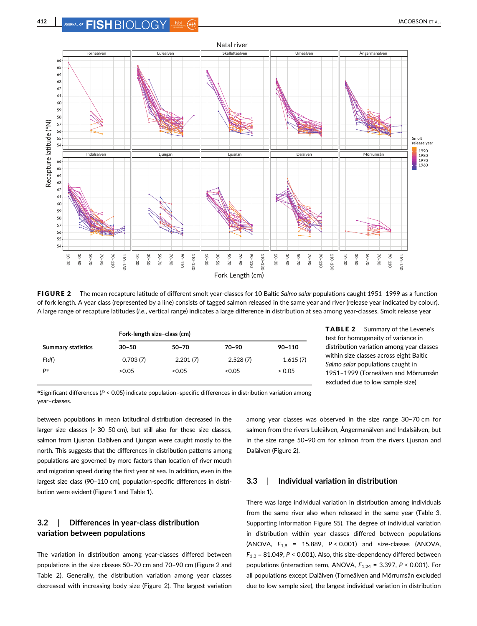

FIGURE 2 The mean recapture latitude of different smolt year-classes for 10 Baltic Salmo salar populations caught 1951-1999 as a function of fork length. A year class (represented by a line) consists of tagged salmon released in the same year and river (release year indicated by colour). A large range of recapture latitudes (i.e., vertical range) indicates a large difference in distribution at sea among year-classes. Smolt release year

|                                        | Fork-length size-class (cm) |          |            |  |  |  |
|----------------------------------------|-----------------------------|----------|------------|--|--|--|
| $30 - 50$<br><b>Summary statistics</b> | $50 - 70$                   | 70-90    | $90 - 110$ |  |  |  |
| 0.703(7)<br>F(df)                      | 2.201(7)                    | 2.528(7) | 1.615(7)   |  |  |  |
| P*<br>>0.05                            | < 0.05                      | < 0.05   | > 0.05     |  |  |  |

TABLE 2 Summary of the Levene's test for homogeneity of variance in distribution variation among year classes within size classes across eight Baltic Salmo salar populations caught in 1951–1999 (Torneälven and Mörrumsån excluded due to low sample size)

\*Significant differences (P < 0.05) indicate population–specific differences in distribution variation among year–classes.

between populations in mean latitudinal distribution decreased in the larger size classes (> 30–50 cm), but still also for these size classes, salmon from Ljusnan, Dalälven and Ljungan were caught mostly to the north. This suggests that the differences in distribution patterns among populations are governed by more factors than location of river mouth and migration speed during the first year at sea. In addition, even in the largest size class (90–110 cm), population-specific differences in distribution were evident (Figure 1 and Table 1).

# 3.2 | Differences in year-class distribution variation between populations

The variation in distribution among year-classes differed between populations in the size classes 50–70 cm and 70–90 cm (Figure 2 and Table 2). Generally, the distribution variation among year classes decreased with increasing body size (Figure 2). The largest variation among year classes was observed in the size range 30–70 cm for salmon from the rivers Luleälven, Ångermanälven and Indalsälven, but in the size range 50–90 cm for salmon from the rivers Ljusnan and Dalälven (Figure 2).

## 3.3 | Individual variation in distribution

There was large individual variation in distribution among individuals from the same river also when released in the same year (Table 3, Supporting Information Figure S5). The degree of individual variation in distribution within year classes differed between populations (ANOVA,  $F_{1,9}$  = 15.889,  $P < 0.001$ ) and size-classes (ANOVA,  $F_{1,3}$  = 81.049, P < 0.001). Also, this size-dependency differed between populations (interaction term, ANOVA,  $F_{1,24} = 3.397$ ,  $P < 0.001$ ). For all populations except Dalälven (Torneälven and Mörrumsån excluded due to low sample size), the largest individual variation in distribution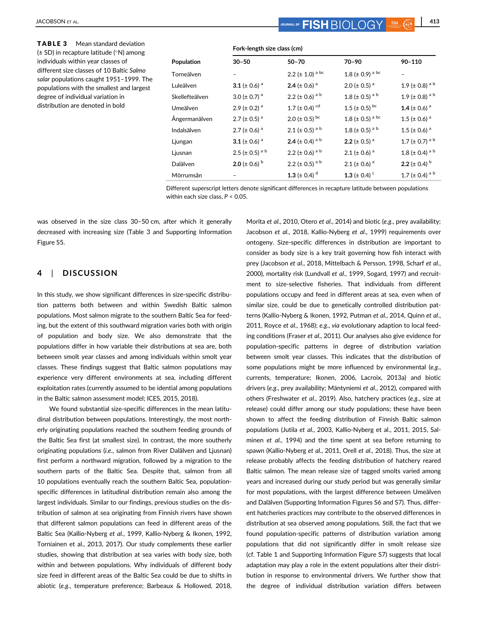| <b>TABLE 3</b><br>Mean standard deviation<br>$(\pm$ SD) in recapture latitude ( $\degree$ N) among                                                                                                         | Fork-length size class (cm) |                               |                                |                                  |                                 |
|------------------------------------------------------------------------------------------------------------------------------------------------------------------------------------------------------------|-----------------------------|-------------------------------|--------------------------------|----------------------------------|---------------------------------|
| individuals within year classes of                                                                                                                                                                         | Population                  | $30 - 50$                     | $50 - 70$                      | 70-90                            | $90 - 110$                      |
| different size classes of 10 Baltic Salmo<br>salar populations caught 1951-1999. The<br>populations with the smallest and largest<br>degree of individual variation in<br>distribution are denoted in bold | Torneälven                  | $\overline{\phantom{a}}$      | 2.2 ( $\pm$ 1.0) a bc          | 1.8 ( $\pm$ 0.9) <sup>a bc</sup> | $\overline{\phantom{0}}$        |
|                                                                                                                                                                                                            | Luleälven                   | 3.1 ( $\pm$ 0.6) <sup>a</sup> | 2.4 ( $\pm$ 0.6) <sup>a</sup>  | 2.0 ( $\pm$ 0.5) <sup>a</sup>    | 1.9 ( $\pm$ 0.8) <sup>ab</sup>  |
|                                                                                                                                                                                                            | Skellefteälven              | 3.0 ( $\pm$ 0.7) <sup>a</sup> | 2.2 ( $\pm$ 0.6) <sup>ab</sup> | 1.8 ( $\pm$ 0.5) <sup>ab</sup>   | 1.9 ( $\pm$ 0.8) <sup>ab</sup>  |
|                                                                                                                                                                                                            | <b>Umeälven</b>             | 2.9 ( $\pm$ 0.2) <sup>a</sup> | 1.7 ( $\pm$ 0.4) <sup>cd</sup> | 1.5 ( $\pm$ 0.5) bc              | 1.4 ( $\pm$ 0.6) <sup>a</sup>   |
|                                                                                                                                                                                                            | Ångermanälven               | 2.7 ( $\pm$ 0.5) <sup>a</sup> | 2.0 ( $\pm$ 0.5) bc            | 1.8 ( $\pm$ 0.5) <sup>a bc</sup> | 1.5 ( $\pm$ 0.6) <sup>a</sup>   |
|                                                                                                                                                                                                            | Indalsälven                 | 2.7 ( $\pm$ 0.6) <sup>a</sup> | 2.1 ( $\pm$ 0.5) <sup>ab</sup> | 1.8 ( $\pm$ 0.5) <sup>ab</sup>   | 1.5 ( $\pm$ 0.6) <sup>a</sup>   |
|                                                                                                                                                                                                            | Ljungan                     | 3.1 ( $\pm$ 0.6) <sup>a</sup> | 2.4 (± 0.4) $a^b$              | 2.2 ( $\pm$ 0.5) <sup>a</sup>    | 1.7 ( $\pm$ 0.7) <sup>ab</sup>  |
|                                                                                                                                                                                                            | Ljusnan                     | 2.5 (± 0.5) $^{\text{a b}}$   | 2.2 (± 0.6) $a^b$              | 2.1 ( $\pm$ 0.6) <sup>a</sup>    | 1.8 ( $\pm$ 0.4) <sup>ab</sup>  |
|                                                                                                                                                                                                            | Dalälven                    | 2.0 (± 0.6) $^{\rm b}$        | 2.2 (± 0.5) $a b$              | 2.1 ( $\pm$ 0.6) <sup>a</sup>    | 2.2 ( $\pm$ 0.4) <sup>b</sup>   |
|                                                                                                                                                                                                            | Mörrumsån                   |                               | 1.3 ( $\pm$ 0.4) <sup>d</sup>  | 1.3 ( $\pm$ 0.4) $\degree$       | 1.7 ( $\pm$ 0.4) <sup>a b</sup> |

Different superscript letters denote significant differences in recapture latitude between populations within each size class,  $P < 0.05$ .

was observed in the size class 30–50 cm, after which it generally decreased with increasing size (Table 3 and Supporting Information Figure S5.

## 4 | DISCUSSION

In this study, we show significant differences in size-specific distribution patterns both between and within Swedish Baltic salmon populations. Most salmon migrate to the southern Baltic Sea for feeding, but the extent of this southward migration varies both with origin of population and body size. We also demonstrate that the populations differ in how variable their distributions at sea are, both between smolt year classes and among individuals within smolt year classes. These findings suggest that Baltic salmon populations may experience very different environments at sea, including different exploitation rates (currently assumed to be idential among populations in the Baltic salmon assessment model; ICES, 2015, 2018).

We found substantial size-specific differences in the mean latitudinal distribution between populations. Interestingly, the most northerly originating populations reached the southern feeding grounds of the Baltic Sea first (at smallest size). In contrast, the more southerly originating populations (i.e., salmon from River Dalälven and Ljusnan) first perform a northward migration, followed by a migration to the southern parts of the Baltic Sea. Despite that, salmon from all 10 populations eventually reach the southern Baltic Sea, populationspecific differences in latitudinal distribution remain also among the largest individuals. Similar to our findings, previous studies on the distribution of salmon at sea originating from Finnish rivers have shown that different salmon populations can feed in different areas of the Baltic Sea (Kallio-Nyberg et al., 1999, Kallio-Nyberg & Ikonen, 1992, Torniainen et al., 2013, 2017). Our study complements these earlier studies, showing that distribution at sea varies with body size, both within and between populations. Why individuals of different body size feed in different areas of the Baltic Sea could be due to shifts in abiotic (e.g., temperature preference; Barbeaux & Hollowed, 2018,

Morita et al., 2010, Otero et al., 2014) and biotic (e.g., prey availability; Jacobson et al., 2018, Kallio-Nyberg et al., 1999) requirements over ontogeny. Size-specific differences in distribution are important to consider as body size is a key trait governing how fish interact with prey (Jacobson et al., 2018, Mittelbach & Persson, 1998, Scharf et al., 2000), mortality risk (Lundvall et al., 1999, Sogard, 1997) and recruitment to size-selective fisheries. That individuals from different populations occupy and feed in different areas at sea, even when of similar size, could be due to genetically controlled distribution patterns (Kallio-Nyberg & Ikonen, 1992, Putman et al., 2014, Quinn et al., 2011, Royce et al., 1968); e.g., via evolutionary adaption to local feeding conditions (Fraser et al., 2011). Our analyses also give evidence for population-specific patterns in degree of distribution variation between smolt year classes. This indicates that the distribution of some populations might be more influenced by environmental (e.g., currents, temperature; Ikonen, 2006, Lacroix, 2013a) and biotic drivers (e.g., prey availability; Mäntyniemi et al., 2012), compared with others (Freshwater et al., 2019). Also, hatchery practices (e.g., size at release) could differ among our study populations; these have been shown to affect the feeding distribution of Finnish Baltic salmon populations (Jutila et al., 2003, Kallio-Nyberg et al., 2011, 2015, Salminen et al., 1994) and the time spent at sea before returning to spawn (Kallio-Nyberg et al., 2011, Orell et al., 2018). Thus, the size at release probably affects the feeding distribution of hatchery reared Baltic salmon. The mean release size of tagged smolts varied among years and increased during our study period but was generally similar for most populations, with the largest difference between Umeälven and Dalälven (Supporting Information Figures S6 and S7). Thus, different hatcheries practices may contribute to the observed differences in distribution at sea observed among populations. Still, the fact that we found population-specific patterns of distribution variation among populations that did not significantly differ in smolt release size (cf. Table 1 and Supporting Information Figure S7) suggests that local adaptation may play a role in the extent populations alter their distribution in response to environmental drivers. We further show that the degree of individual distribution variation differs between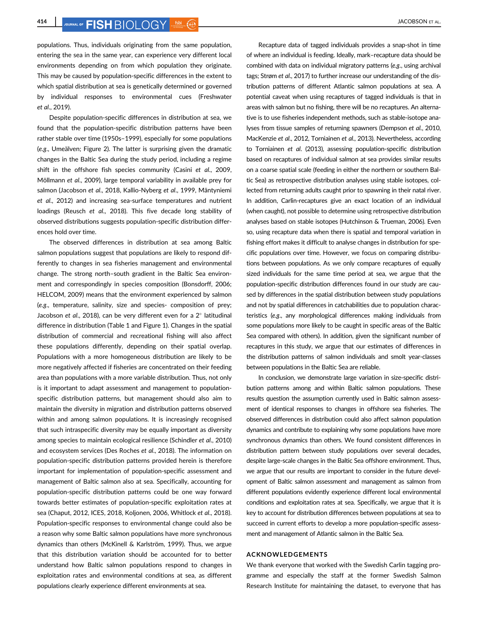414 JOURNAL OF **FISH** RIOL OGY 560 G 2008 CONTRACT AL.

populations. Thus, individuals originating from the same population, entering the sea in the same year, can experience very different local environments depending on from which population they originate. This may be caused by population-specific differences in the extent to which spatial distribution at sea is genetically determined or governed by individual responses to environmental cues (Freshwater et al., 2019).

Despite population-specific differences in distribution at sea, we found that the population-specific distribution patterns have been rather stable over time (1950s–1999), especially for some populations (e.g., Umeälven; Figure 2). The latter is surprising given the dramatic changes in the Baltic Sea during the study period, including a regime shift in the offshore fish species community (Casini et al., 2009, Möllmann et al., 2009), large temporal variability in available prey for salmon (Jacobson et al., 2018, Kallio-Nyberg et al., 1999, Mäntyniemi et al., 2012) and increasing sea-surface temperatures and nutrient loadings (Reusch et al., 2018). This five decade long stability of observed distributions suggests population-specific distribution differences hold over time.

The observed differences in distribution at sea among Baltic salmon populations suggest that populations are likely to respond differently to changes in sea fisheries management and environmental change. The strong north–south gradient in the Baltic Sea environment and correspondingly in species composition (Bonsdorff, 2006; HELCOM, 2009) means that the environment experienced by salmon (e.g., temperature, salinity, size and species- composition of prey; Jacobson et al., 2018), can be very different even for a  $2^\circ$  latitudinal difference in distribution (Table 1 and Figure 1). Changes in the spatial distribution of commercial and recreational fishing will also affect these populations differently, depending on their spatial overlap. Populations with a more homogeneous distribution are likely to be more negatively affected if fisheries are concentrated on their feeding area than populations with a more variable distribution. Thus, not only is it important to adapt assessment and management to populationspecific distribution patterns, but management should also aim to maintain the diversity in migration and distribution patterns observed within and among salmon populations. It is increasingly recognised that such intraspecific diversity may be equally important as diversity among species to maintain ecological resilience (Schindler et al., 2010) and ecosystem services (Des Roches et al., 2018). The information on population-specific distribution patterns provided herein is therefore important for implementation of population-specific assessment and management of Baltic salmon also at sea. Specifically, accounting for population-specific distribution patterns could be one way forward towards better estimates of population-specific exploitation rates at sea (Chaput, 2012, ICES, 2018, Koljonen, 2006, Whitlock et al., 2018). Population-specific responses to environmental change could also be a reason why some Baltic salmon populations have more synchronous dynamics than others (McKinell & Karlström, 1999). Thus, we argue that this distribution variation should be accounted for to better understand how Baltic salmon populations respond to changes in exploitation rates and environmental conditions at sea, as different populations clearly experience different environments at sea.

Recapture data of tagged individuals provides a snap-shot in time of where an individual is feeding. Ideally, mark–recapture data should be combined with data on individual migratory patterns (e.g., using archival tags; Strøm et al., 2017) to further increase our understanding of the distribution patterns of different Atlantic salmon populations at sea. A potential caveat when using recaptures of tagged individuals is that in areas with salmon but no fishing, there will be no recaptures. An alternative is to use fisheries independent methods, such as stable-isotope analyses from tissue samples of returning spawners (Dempson et al., 2010, MacKenzie et al., 2012, Torniainen et al., 2013). Nevertheless, according to Torniainen et al. (2013), assessing population-specific distribution based on recaptures of individual salmon at sea provides similar results on a coarse spatial scale (feeding in either the northern or southern Baltic Sea) as retrospective distribution analyses using stable isotopes, collected from returning adults caught prior to spawning in their natal river. In addition, Carlin-recaptures give an exact location of an individual (when caught), not possible to determine using retrospective distribution analyses based on stable isotopes (Hutchinson & Trueman, 2006). Even so, using recapture data when there is spatial and temporal variation in fishing effort makes it difficult to analyse changes in distribution for specific populations over time. However, we focus on comparing distributions between populations. As we only compare recaptures of equally sized individuals for the same time period at sea, we argue that the population-specific distribution differences found in our study are caused by differences in the spatial distribution between study populations and not by spatial differences in catchabilities due to population characteristics (e.g., any morphological differences making individuals from some populations more likely to be caught in specific areas of the Baltic Sea compared with others). In addition, given the significant number of recaptures in this study, we argue that our estimates of differences in the distribution patterns of salmon individuals and smolt year-classes between populations in the Baltic Sea are reliable.

In conclusion, we demonstrate large variation in size-specific distribution patterns among and within Baltic salmon populations. These results question the assumption currently used in Baltic salmon assessment of identical responses to changes in offshore sea fisheries. The observed differences in distribution could also affect salmon population dynamics and contribute to explaining why some populations have more synchronous dynamics than others. We found consistent differences in distribution pattern between study populations over several decades, despite large-scale changes in the Baltic Sea offshore environment. Thus, we argue that our results are important to consider in the future development of Baltic salmon assessment and management as salmon from different populations evidently experience different local environmental conditions and exploitation rates at sea. Specifically, we argue that it is key to account for distribution differences between populations at sea to succeed in current efforts to develop a more population-specific assessment and management of Atlantic salmon in the Baltic Sea.

#### ACKNOWLEDGEMENTS

We thank everyone that worked with the Swedish Carlin tagging programme and especially the staff at the former Swedish Salmon Research Institute for maintaining the dataset, to everyone that has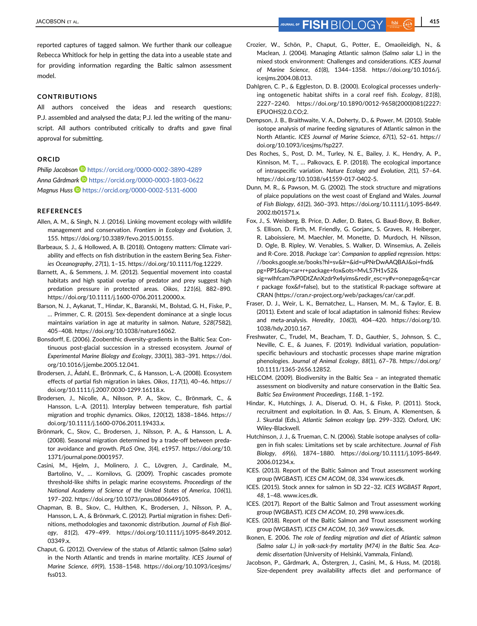reported captures of tagged salmon. We further thank our colleague Rebecca Whitlock for help in getting the data into a useable state and for providing information regarding the Baltic salmon assessment model.

#### CONTRIBUTIONS

All authors conceived the ideas and research questions; P.J. assembled and analysed the data; P.J. led the writing of the manuscript. All authors contributed critically to drafts and gave final approval for submitting.

#### ORCID

Philip Jacobson <https://orcid.org/0000-0002-3890-4289> Anna Gårdmark **<https://orcid.org/0000-0003-1803-0622>** Magnus Huss D <https://orcid.org/0000-0002-5131-6000>

#### REFERENCES

- Allen, A. M., & Singh, N. J. (2016). Linking movement ecology with wildlife management and conservation. Frontiers in Ecology and Evolution, 3, 155.<https://doi.org/10.3389/fevo.2015.00155>.
- Barbeaux, S. J., & Hollowed, A. B. (2018). Ontogeny matters: Climate variability and effects on fish distribution in the eastern Bering Sea. Fisheries Oceanography, 27(1), 1–15. [https://doi.org/10.1111/fog.12229.](https://doi.org/10.1111/fog.12229)
- Barnett, A., & Semmens, J. M. (2012). Sequential movement into coastal habitats and high spatial overlap of predator and prey suggest high predation pressure in protected areas. Oikos, 121(6), 882–890. [https://doi.org/10.1111/j.1600-0706.2011.20000.x.](https://doi.org/10.1111/j.1600-0706.2011.20000.x)
- Barson, N. J., Aykanat, T., Hindar, K., Baranski, M., Bolstad, G. H., Fiske, P., … Primmer, C. R. (2015). Sex-dependent dominance at a single locus maintains variation in age at maturity in salmon. Nature, 528(7582), 405–408.<https://doi.org/10.1038/nature16062>.
- Bonsdorff, E. (2006). Zoobenthic diversity-gradients in the Baltic Sea: Continuous post-glacial succession in a stressed ecosystem. Journal of Experimental Marine Biology and Ecology, 330(1), 383–391. [https://doi.](https://doi.org/10.1016/j.jembe.2005.12.041) [org/10.1016/j.jembe.2005.12.041.](https://doi.org/10.1016/j.jembe.2005.12.041)
- Brodersen, J., Ådahl, E., Brönmark, C., & Hansson, L.-A. (2008). Ecosystem effects of partial fish migration in lakes. Oikos, 117(1), 40–46. [https://](https://doi.org/10.1111/j.2007.0030-1299.16118.x) [doi.org/10.1111/j.2007.0030-1299.16118.x.](https://doi.org/10.1111/j.2007.0030-1299.16118.x)
- Brodersen, J., Nicolle, A., Nilsson, P. A., Skov, C., Brönmark, C., & Hansson, L.-A. (2011). Interplay between temperature, fish partial migration and trophic dynamics. Oikos, 120(12), 1838–1846. [https://](https://doi.org/10.1111/j.1600-0706.2011.19433.x) [doi.org/10.1111/j.1600-0706.2011.19433.x.](https://doi.org/10.1111/j.1600-0706.2011.19433.x)
- Brönmark, C., Skov, C., Brodersen, J., Nilsson, P. A., & Hansson, L. A. (2008). Seasonal migration determined by a trade-off between predator avoidance and growth. PLoS One, 3(4), e1957. [https://doi.org/10.](https://doi.org/10.1371/journal.pone.0001957) [1371/journal.pone.0001957](https://doi.org/10.1371/journal.pone.0001957).
- Casini, M., Hjelm, J., Molinero, J. C., Lövgren, J., Cardinale, M., Bartolino, V., … Kornilovs, G. (2009). Trophic cascades promote threshold-like shifts in pelagic marine ecosystems. Proceedings of the National Academy of Science of the United States of America, 106(1), 197–202.<https://doi.org/10.1073/pnas.0806649105>.
- Chapman, B. B., Skov, C., Hulthen, K., Brodersen, J., Nilsson, P. A., Hansson, L. A., & Brönmark, C. (2012). Partial migration in fishes: Definitions, methodologies and taxonomic distribution. Journal of Fish Biology, 81(2), 479–499. [https://doi.org/10.1111/j.1095-8649.2012.](https://doi.org/10.1111/j.1095-8649.2012.03349.x) [03349.x](https://doi.org/10.1111/j.1095-8649.2012.03349.x).
- Chaput, G. (2012). Overview of the status of Atlantic salmon (Salmo salar) in the North Atlantic and trends in marine mortality. ICES Journal of Marine Science, 69(9), 1538–1548. [https://doi.org/10.1093/icesjms/](https://doi.org/10.1093/icesjms/fss013) [fss013](https://doi.org/10.1093/icesjms/fss013).
- Crozier, W., Schön, P., Chaput, G., Potter, E., Omaoileidigh, N., & Maclean, J. (2004). Managing Atlantic salmon (Salmo salar L.) in the mixed stock environment: Challenges and considerations. ICES Journal of Marine Science, 61(8), 1344–1358. [https://doi.org/10.1016/j.](https://doi.org/10.1016/j.icesjms.2004.08.013) [icesjms.2004.08.013](https://doi.org/10.1016/j.icesjms.2004.08.013).
- Dahlgren, C. P., & Eggleston, D. B. (2000). Ecological processes underlying ontogenetic habitat shifts in a coral reef fish. Ecology, 81(8), 2227–2240. [https://doi.org/10.1890/0012-9658\(2000\)081\(2227:](https://doi.org/10.1890/0012-9658(2000)081(2227:EPUOHS)2.0.CO;2) [EPUOHS\)2.0.CO;2.](https://doi.org/10.1890/0012-9658(2000)081(2227:EPUOHS)2.0.CO;2)
- Dempson, J. B., Braithwaite, V. A., Doherty, D., & Power, M. (2010). Stable isotope analysis of marine feeding signatures of Atlantic salmon in the North Atlantic. ICES Journal of Marine Science, 67(1), 52–61. [https://](https://doi.org/10.1093/icesjms/fsp227) [doi.org/10.1093/icesjms/fsp227](https://doi.org/10.1093/icesjms/fsp227).
- Des Roches, S., Post, D. M., Turley, N. E., Bailey, J. K., Hendry, A. P., Kinnison, M. T., … Palkovacs, E. P. (2018). The ecological importance of intraspecific variation. Nature Ecology and Evolution, 2(1), 57–64. <https://doi.org/10.1038/s41559-017-0402-5>.
- Dunn, M. R., & Pawson, M. G. (2002). The stock structure and migrations of plaice populations on the west coast of England and Wales. Journal of Fish Biology, 61(2), 360–393. [https://doi.org/10.1111/j.1095-8649.](https://doi.org/10.1111/j.1095-8649.2002.tb01571.x) [2002.tb01571.x](https://doi.org/10.1111/j.1095-8649.2002.tb01571.x).
- Fox, J., S. Weisberg, B. Price, D. Adler, D. Bates, G. Baud-Bovy, B. Bolker, S. Ellison, D. Firth, M. Friendly, G. Gorjanc, S. Graves, R. Heiberger, R. Laboissiere, M. Maechler, M. Monette, D. Murdoch, H. Nilsson, D. Ogle, B. Ripley, W. Venables, S. Walker, D. Winsemius, A. Zeileis and R-Core. 2018. Package 'car': Companion to applied regression. https: //books.google.se/books?hl=sv&lr=&id=uPNrDwAAQBAJ&oi=fnd& pg=PP1&dq=car+r+package+fox&ots=MvL57H1v52&

sig=wIhfcam7kP0DtZAnXzdr9x4yims&redir\_esc=y#v=onepage&q=car r package fox&f=false), but to the statistical R-package software at CRAN (https://cran.r-project.org/web/packages/car/car.pdf.

- Fraser, D. J., Weir, L. K., Bernatchez, L., Hansen, M. M., & Taylor, E. B. (2011). Extent and scale of local adaptation in salmonid fishes: Review and meta-analysis. Heredity, 106(3), 404–420. [https://doi.org/10.](https://doi.org/10.1038/hdy.2010.167) [1038/hdy.2010.167.](https://doi.org/10.1038/hdy.2010.167)
- Freshwater, C., Trudel, M., Beacham, T. D., Gauthier, S., Johnson, S. C., Neville, C. E., & Juanes, F. (2019). Individual variation, populationspecific behaviours and stochastic processes shape marine migration phenologies. Journal of Animal Ecology, 88(1), 67–78. [https://doi.org/](https://doi.org/10.1111/1365-2656.12852) [10.1111/1365-2656.12852.](https://doi.org/10.1111/1365-2656.12852)
- HELCOM. (2009). Biodiversity in the Baltic Sea an integrated thematic assessment on biodiversity and nature conservation in the Baltic Sea. Baltic Sea Environment Proceedings, 116B, 1–192.
- Hindar, K., Hutchings, J. A., Diserud, O. H., & Fiske, P. (2011). Stock, recruitment and exploitation. In Ø. Aas, S. Einum, A. Klementsen, & J. Skurdal (Eds.), Atlantic Salmon ecology (pp. 299–332). Oxford, UK: Wiley-Blackwell.
- Hutchinson, J. J., & Trueman, C. N. (2006). Stable isotope analyses of collagen in fish scales: Limitations set by scale architecture. Journal of Fish Biology, 69(6), 1874–1880. [https://doi.org/10.1111/j.1095-8649.](https://doi.org/10.1111/j.1095-8649.2006.01234.x) [2006.01234.x.](https://doi.org/10.1111/j.1095-8649.2006.01234.x)
- ICES. (2013). Report of the Baltic Salmon and Trout assessment working group (WGBAST). ICES CM ACOM, 08, 334 www.ices.dk.
- ICES. (2015). Stock annex for salmon in SD 22–32. ICES WGBAST Report, 48, 1–48. www.ices.dk.
- ICES. (2017). Report of the Baltic Salmon and Trout assessment working group (WGBAST). ICES CM ACOM, 10, 298 www.ices.dk.
- ICES. (2018). Report of the Baltic Salmon and Trout assessment working group (WGBAST). ICES CM ACOM, 10, 369 www.ices.dk.
- Ikonen, E. 2006. The role of feeding migration and diet of Atlantic salmon (Salmo salar L.) in yolk-sack-fry mortality (M74) in the Baltic Sea. Academic dissertation (University of Helsinki, Vammala, Finland).
- Jacobson, P., Gårdmark, A., Östergren, J., Casini, M., & Huss, M. (2018). Size-dependent prey availability affects diet and performance of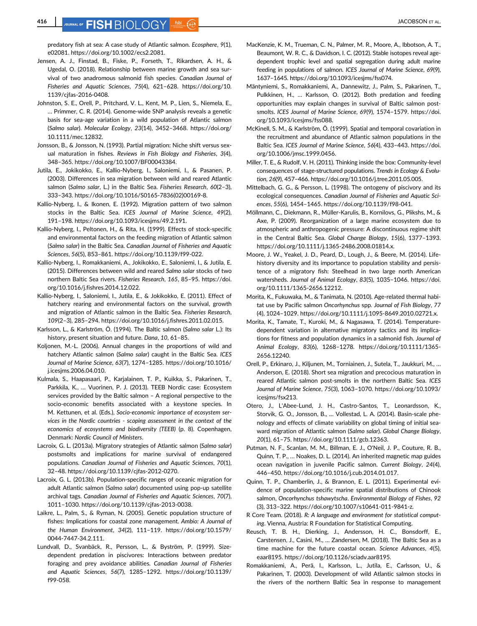416 JOURNAL OF **FISH** BIOLOGY 560 C CONTROL CONTROL DATA ALL ACCESSON ET AL.

predatory fish at sea: A case study of Atlantic salmon. Ecosphere, 9(1), e02081. [https://doi.org/10.1002/ecs2.2081.](https://doi.org/10.1002/ecs2.2081)

- Jensen, A. J., Finstad, B., Fiske, P., Forseth, T., Rikardsen, A. H., & Ugedal, O. (2018). Relationship between marine growth and sea survival of two anadromous salmonid fish species. Canadian Journal of Fisheries and Aquatic Sciences, 75(4), 621–628. [https://doi.org/10.](https://doi.org/10.1139/cjfas-2016-0408) [1139/cjfas-2016-0408.](https://doi.org/10.1139/cjfas-2016-0408)
- Johnston, S. E., Orell, P., Pritchard, V. L., Kent, M. P., Lien, S., Niemela, E., … Primmer, C. R. (2014). Genome-wide SNP analysis reveals a genetic basis for sea-age variation in a wild population of Atlantic salmon (Salmo salar). Molecular Ecology, 23(14), 3452–3468. [https://doi.org/](https://doi.org/10.1111/mec.12832) [10.1111/mec.12832](https://doi.org/10.1111/mec.12832).
- Jonsson, B., & Jonsson, N. (1993). Partial migration: Niche shift versus sexual maturation in fishes. Reviews in Fish Biology and Fisheries, 3(4), 348–365. [https://doi.org/10.1007/BF00043384.](https://doi.org/10.1007/BF00043384)
- Jutila, E., Jokikokko, E., Kallio-Nyberg, I., Saloniemi, I., & Pasanen, P. (2003). Differences in sea migration between wild and reared Atlantic salmon (Salmo salar, L.) in the Baltic Sea. Fisheries Research, 60(2-3), 333–343. [https://doi.org/10.1016/S0165-7836\(02\)00169-8.](https://doi.org/10.1016/S0165-7836(02)00169-8)
- Kallio-Nyberg, I., & Ikonen, E. (1992). Migration pattern of two salmon stocks in the Baltic Sea. ICES Journal of Marine Science, 49(2), 191–198. [https://doi.org/10.1093/icesjms/49.2.191.](https://doi.org/10.1093/icesjms/49.2.191)
- Kallio-Nyberg, I., Peltonen, H., & Rita, H. (1999). Effects of stock-specific and environmental factors on the feeding migration of Atlantic salmon (Salmo salar) in the Baltic Sea. Canadian Journal of Fisheries and Aquatic Sciences, 56(5), 853–861.<https://doi.org/10.1139/f99-022>.
- Kallio-Nyberg, I., Romakkaniemi, A., Jokikokko, E., Saloniemi, I., & Jutila, E. (2015). Differences between wild and reared Salmo salar stocks of two northern Baltic Sea rivers. Fisheries Research, 165, 85–95. [https://doi.](https://doi.org/10.1016/j.fishres.2014.12.022) [org/10.1016/j.fishres.2014.12.022](https://doi.org/10.1016/j.fishres.2014.12.022).
- Kallio-Nyberg, I., Saloniemi, I., Jutila, E., & Jokikokko, E. (2011). Effect of hatchery rearing and environmental factors on the survival, growth and migration of Atlantic salmon in the Baltic Sea. Fisheries Research, 109(2–3), 285–294. [https://doi.org/10.1016/j.fishres.2011.02.015.](https://doi.org/10.1016/j.fishres.2011.02.015)
- Karlsson, L., & Karlström, Ö. (1994). The Baltic salmon (Salmo salar L.): Its history, present situation and future. Dana, 10, 61–85.
- Koljonen, M.-L. (2006). Annual changes in the proportions of wild and hatchery Atlantic salmon (Salmo salar) caught in the Baltic Sea. ICES Journal of Marine Science, 63(7), 1274–1285. [https://doi.org/10.1016/](https://doi.org/10.1016/j.icesjms.2006.04.010) [j.icesjms.2006.04.010](https://doi.org/10.1016/j.icesjms.2006.04.010).
- Kulmala, S., Haapasaari, P., Karjalainen, T. P., Kuikka, S., Pakarinen, T., Parkkila, K., … Vuorinen, P. J. (2013). TEEB Nordic case: Ecosystem services provided by the Baltic salmon – A regional perspective to the socio-economic benefits associated with a keystone species. In M. Kettunen, et al. (Eds.), Socio-economic importance of ecosystem services in the Nordic countries - scoping assessment in the context of the economics of ecosystems and biodiversity (TEEB) (p. 8). Copenhagen, Denmark: Nordic Council of Ministers.
- Lacroix, G. L. (2013a). Migratory strategies of Atlantic salmon (Salmo salar) postsmolts and implications for marine survival of endangered populations. Canadian Journal of Fisheries and Aquatic Sciences, 70(1), 32–48. [https://doi.org/10.1139/cjfas-2012-0270.](https://doi.org/10.1139/cjfas-2012-0270)
- Lacroix, G. L. (2013b). Population-specific ranges of oceanic migration for adult Atlantic salmon (Salmo salar) documented using pop-up satellite archival tags. Canadian Journal of Fisheries and Aquatic Sciences, 70(7), 1011–1030. [https://doi.org/10.1139/cjfas-2013-0038.](https://doi.org/10.1139/cjfas-2013-0038)
- Laikre, L., Palm, S., & Ryman, N. (2005). Genetic population structure of fishes: Implications for coastal zone management. Ambio: A Journal of the Human Environment, 34(2), 111–119. [https://doi.org/10.1579/](https://doi.org/10.1579/0044-7447-34.2.111) [0044-7447-34.2.111.](https://doi.org/10.1579/0044-7447-34.2.111)
- Lundvall, D., Svanbäck, R., Persson, L., & Byström, P. (1999). Sizedependent predation in piscivores: Interactions between predator foraging and prey avoidance abilities. Canadian Journal of Fisheries and Aquatic Sciences, 56(7), 1285–1292. [https://doi.org/10.1139/](https://doi.org/10.1139/f99-058) [f99-058](https://doi.org/10.1139/f99-058).
- MacKenzie, K. M., Trueman, C. N., Palmer, M. R., Moore, A., Ibbotson, A. T., Beaumont, W. R. C., & Davidson, I. C. (2012). Stable isotopes reveal agedependent trophic level and spatial segregation during adult marine feeding in populations of salmon. ICES Journal of Marine Science, 69(9), 1637–1645. [https://doi.org/10.1093/icesjms/fss074.](https://doi.org/10.1093/icesjms/fss074)
- Mäntyniemi, S., Romakkaniemi, A., Dannewitz, J., Palm, S., Pakarinen, T., Pulkkinen, H., … Karlsson, O. (2012). Both predation and feeding opportunities may explain changes in survival of Baltic salmon postsmolts. ICES Journal of Marine Science, 69(9), 1574–1579. [https://doi.](https://doi.org/10.1093/icesjms/fss088) [org/10.1093/icesjms/fss088](https://doi.org/10.1093/icesjms/fss088).
- McKinell, S. M., & Karlström, Ö. (1999). Spatial and temporal covariation in the recruitment and abundance of Atlantic salmon populations in the Baltic Sea. ICES Journal of Marine Science, 56(4), 433–443. [https://doi.](https://doi.org/10.1006/jmsc.1999.0456) [org/10.1006/jmsc.1999.0456](https://doi.org/10.1006/jmsc.1999.0456).
- Miller, T. E., & Rudolf, V. H. (2011). Thinking inside the box: Community-level consequences of stage-structured populations. Trends in Ecology & Evolution, 26(9), 457–466.<https://doi.org/10.1016/j.tree.2011.05.005>.
- Mittelbach, G. G., & Persson, L. (1998). The ontogeny of piscivory and its ecological consequences. Canadian Journal of Fisheries and Aquatic Sciences, 55(6), 1454–1465.<https://doi.org/10.1139/f98-041>.
- Möllmann, C., Diekmann, R., Müller-Karulis, B., Kornilovs, G., Plikshs, M., & Axe, P. (2009). Reorganization of a large marine ecosystem due to atmospheric and anthropogenic pressure: A discontinuous regime shift in the Central Baltic Sea. Global Change Biology, 15(6), 1377–1393. <https://doi.org/10.1111/j.1365-2486.2008.01814.x>.
- Moore, J. W., Yeakel, J. D., Peard, D., Lough, J., & Beere, M. (2014). Lifehistory diversity and its importance to population stability and persistence of a migratory fish: Steelhead in two large north American watersheds. Journal of Animal Ecology, 83(5), 1035–1046. [https://doi.](https://doi.org/10.1111/1365-2656.12212) [org/10.1111/1365-2656.12212.](https://doi.org/10.1111/1365-2656.12212)
- Morita, K., Fukuwaka, M., & Tanimata, N. (2010). Age-related thermal habitat use by Pacific salmon Oncorhynchus spp. Journal of Fish Biology, 77 (4), 1024–1029.<https://doi.org/10.1111/j.1095-8649.2010.02721.x>.
- Morita, K., Tamate, T., Kuroki, M., & Nagasawa, T. (2014). Temperaturedependent variation in alternative migratory tactics and its implications for fitness and population dynamics in a salmonid fish. Journal of Animal Ecology, 83(6), 1268–1278. [https://doi.org/10.1111/1365-](https://doi.org/10.1111/1365-2656.12240) [2656.12240](https://doi.org/10.1111/1365-2656.12240).
- Orell, P., Erkinaro, J., Kiljunen, M., Torniainen, J., Sutela, T., Jaukkuri, M., … Anderson, E. (2018). Short sea migration and precocious maturation in reared Atlantic salmon post-smolts in the northern Baltic Sea. ICES Journal of Marine Science, 75(3), 1063–1070. [https://doi.org/10.1093/](https://doi.org/10.1093/icesjms/fsx213) [icesjms/fsx213.](https://doi.org/10.1093/icesjms/fsx213)
- Otero, J., L'Abee-Lund, J. H., Castro-Santos, T., Leonardsson, K., Storvik, G. O., Jonsson, B., … Vollestad, L. A. (2014). Basin-scale phenology and effects of climate variability on global timing of initial seaward migration of Atlantic salmon (Salmo salar). Global Change Biology, 20(1), 61–75.<https://doi.org/10.1111/gcb.12363>.
- Putman, N. F., Scanlan, M. M., Billman, E. J., O'Neil, J. P., Couture, R. B., Quinn, T. P., … Noakes, D. L. (2014). An inherited magnetic map guides ocean navigation in juvenile Pacific salmon. Current Biology, 24(4), 446–450. [https://doi.org/10.1016/j.cub.2014.01.017.](https://doi.org/10.1016/j.cub.2014.01.017)
- Quinn, T. P., Chamberlin, J., & Brannon, E. L. (2011). Experimental evidence of population-specific marine spatial distributions of Chinook salmon, Oncorhynchus tshawytscha. Environmental Biology of Fishes, 92 (3), 313–322. [https://doi.org/10.1007/s10641-011-9841-z.](https://doi.org/10.1007/s10641-011-9841-z)
- R Core Team. (2018). R: A language and environment for statistical computing. Vienna, Austria: R Foundation for Statistical Computing.
- Reusch, T. B. H., Dierking, J., Andersson, H. C., Bonsdorff, E., Carstensen, J., Casini, M., … Zandersen, M. (2018). The Baltic Sea as a time machine for the future coastal ocean. Science Advances, 4(5), eaar8195. [https://doi.org/10.1126/sciadv.aar8195.](https://doi.org/10.1126/sciadv.aar8195)
- Romakkaniemi, A., Perä, I., Karlsson, L., Jutila, E., Carlsson, U., & Pakarinen, T. (2003). Development of wild Atlantic salmon stocks in the rivers of the northern Baltic Sea in response to management